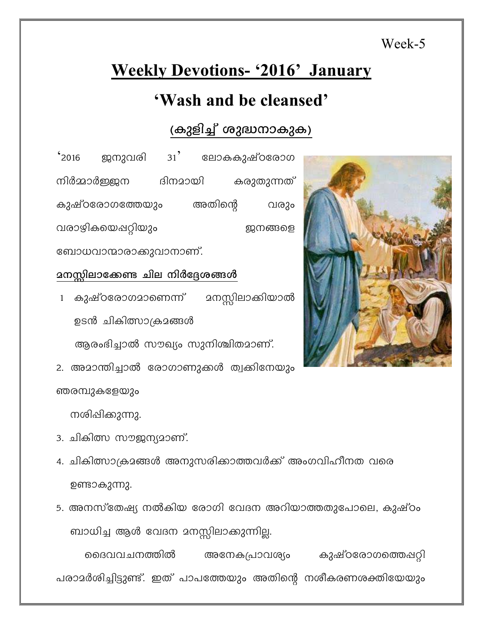# **Weekly Devotions- '2016' January**

## 'Wash and be cleansed'

## (കുളിച്ച് ശുദ്ധനാകുക)

 $^{\circ}$ 2016 ജനുവരി 31 ലോകകുഷ്ഠരോഗ നിർമ്മാർജ്ജന ദിനമായി കരുതുന്നത് കുഷ്ഠരോഗത്തേയും അതിന്റെ വരും വരാഴികയെപ്പറ്റിയും ഇനങ്ങളെ ബോധവാന്മാരാക്കുവാനാണ്.

#### ദനസ്സിലാക്കേണ്ട ചില നിർദ്ദേശങ്ങൾ

- 1 കുഷ്ഠരോഗമാണെന്ന് മനസ്സിലാക്കിയാൽ ഉടൻ ചികിത്സാക്രമങ്ങൾ ആരംഭിച്ചാൽ സൗഖ്യം സുനിശ്ചിതമാണ്.
- 2. അമാന്തിച്ചാൽ രോഗാണുക്കൾ ത്വക്കിനേയും ഞരമ്പുകളേയും

നശിഷിക്കുന്നു.

- 3. ചികിത്സ സൗജന്യമാണ്.
- 4. ചികിത്സാക്രമങ്ങൾ അനുസരിക്കാത്തവർക്ക് അംഗവിഹീനത വരെ ഉണ്ടാകുന്നു.
- 5. അനസ്തേഷ്യ നൽകിയ രോഗി വേദന അറിയാത്തതുപോലെ, കുഷ്ഠം ബാധിച്ച ആൾ വേദന മനസ്സിലാകുന്നില്ല.

അനേകപ്രാവര്യം കുഷ്ഠരോഗത്തെപ്പറ്റി ദൈവവചനത്തിൽ പരാമർശിച്ചിട്ടുണ്ട്. ഇത് പാപത്തേയും അതിന്റെ നശീകരണശക്തിയേയും



Week-5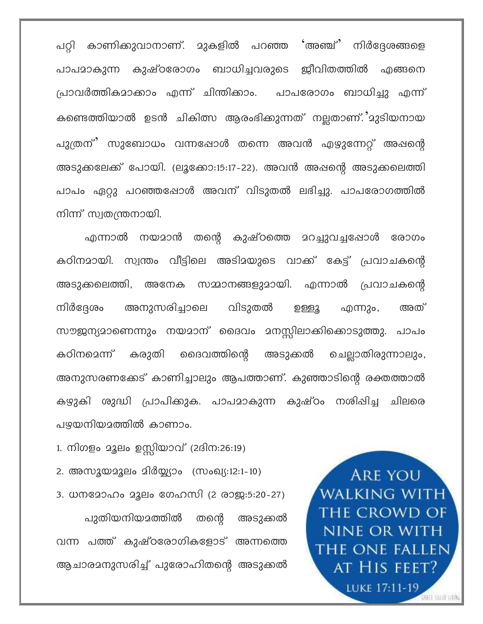പറ്റി കാണിക്കുവാനാണ്. മുകളിൽ പറഞ്ഞ 'അഞ്ച്' നിർദ്ദേശങ്ങളെ പാപമാകുന്ന കുഷ്ഠരോഗം ബാധിച്ചവരുടെ ജീവിതത്തിൽ എങ്ങനെ പ്രാവർത്തികമാക്കാം എന്ന് ചിന്തിക്കാം. പാപരോഗം ബാധിച്ചു എന്ന് കണ്ടെത്തിയാൽ ഉടൻ ചികിത്സ ആരംഭിക്കുന്നത് നല്ലതാണ്. മുടിയനായ പുത്രന്' സുബോധം വന്നപ്പോൾ തന്നെ അവൻ എഴുന്നേറ്റ് അഷന്റെ അടുക്കലേക്ക് പോയി. (ലൂക്കോ:15:17-22). അവൻ അപ്പന്റെ അടുക്കലെത്തി പാപം ഏറ്റു പറഞ്ഞപ്പോൾ അവന് വിടുതൽ ലഭിച്ചു. പാപരോഗത്തിൽ നിന്ന് സ്വതന്ത്രനായി.

എന്നാൽ നയമാൻ തന്റെ കുഷ്ഠത്തെ മറച്ചുവച്ചപ്പോൾ രോഗം കഠിനമായി. സ്വന്തം വീട്ടിലെ അടിമയുടെ വാക്ക് കേട്ട് പ്രവാചകന്റെ അടുക്കലെത്തി, അനേക സമ്മാനങ്ങളുമായി. എന്നാൽ പ്രവാചകന്റെ അനുസരിച്ചാലെ വിടുതൽ നിർദ്ദേശം ഉള്ളൂ എന്നും, അത് സൗജന്യമാണെന്നും നയമാന് ദൈവം മനസ്സിലാക്കികൊടുത്തു. പാപം ചെല്ലാതിരുന്നാലും, വൈത്തിന്റെ കരുതി കഠിനമെന്ന് അടുക്കൽ അനുസരണക്കേട് കാണിച്ചാലും ആപത്താണ്. കുഞ്ഞാടിന്റെ രക്തത്താൽ കഴുകി ശുദ്ധി പ്രാപിക്കുക. പാപമാകുന്ന കുഷ്ഠം നശിപ്പിച്ച ചിലരെ പഴയനിയമത്തിൽ കാണാം.

1. നിഗളം മൂലം ഉസ്റ്റിയാവ് (2ദിന:26:19) 2. അസൂയമൂലം മിർയ്യാം (സംഖ്യ:12:1-10) 3. ധനമോഹം മൂലം ഗേഹസി (2 രാജ:5:20-27) പുതിയനിയമത്തിൽ തന്റെ അടുക്കൽ വന്ന പത്ത് കുഷ്ഠരോഗികളോട് അന്നത്തെ ആചാരമനുസരിച്ച് പുരോഹിതന്റെ അടുക്കൽ

**ARE YOU** WALKING WITH THE CROWD OF NINE OR WITH THE ONE FALLEN AT HIS FEET? LUKE 17:11-19

GRAEL SILLER LIFER